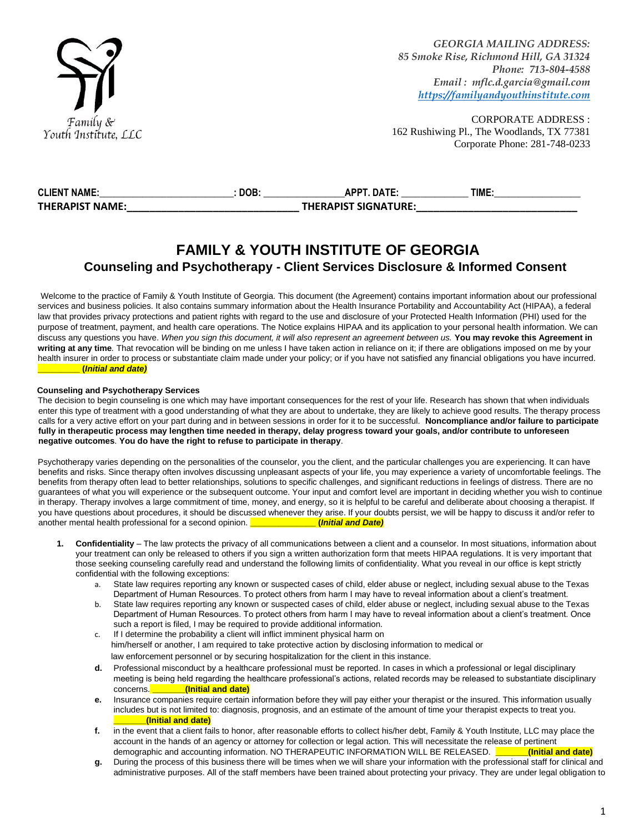

CORPORATE ADDRESS : 162 Rushiwing Pl., The Woodlands, TX 77381 Corporate Phone: 281-748-0233

| <b>CLIENT NAME:</b>    | <b>DOB</b> | DATE.<br>АРРТ               | TIME. |
|------------------------|------------|-----------------------------|-------|
| <b>THERAPIST NAME:</b> |            | <b>THERAPIST SIGNATURE:</b> |       |

## **FAMILY & YOUTH INSTITUTE OF GEORGIA Counseling and Psychotherapy - Client Services Disclosure & Informed Consent**

Welcome to the practice of Family & Youth Institute of Georgia. This document (the Agreement) contains important information about our professional services and business policies. It also contains summary information about the Health Insurance Portability and Accountability Act (HIPAA), a federal law that provides privacy protections and patient rights with regard to the use and disclosure of your Protected Health Information (PHI) used for the purpose of treatment, payment, and health care operations. The Notice explains HIPAA and its application to your personal health information. We can discuss any questions you have. *When you sign this document, it will also represent an agreement between us.* **You may revoke this Agreement in**  writing at any time. That revocation will be binding on me unless I have taken action in reliance on it; if there are obligations imposed on me by your health insurer in order to process or substantiate claim made under your policy; or if you have not satisfied any financial obligations you have incurred. **\_\_\_\_\_\_\_\_\_ (***Initial and date)*

#### **Counseling and Psychotherapy Services**

The decision to begin counseling is one which may have important consequences for the rest of your life. Research has shown that when individuals enter this type of treatment with a good understanding of what they are about to undertake, they are likely to achieve good results. The therapy process calls for a very active effort on your part during and in between sessions in order for it to be successful. **Noncompliance and/or failure to participate fully in therapeutic process may lengthen time needed in therapy, delay progress toward your goals, and/or contribute to unforeseen negative outcomes**. **You do have the right to refuse to participate in therapy**.

Psychotherapy varies depending on the personalities of the counselor, you the client, and the particular challenges you are experiencing. It can have benefits and risks. Since therapy often involves discussing unpleasant aspects of your life, you may experience a variety of uncomfortable feelings. The benefits from therapy often lead to better relationships, solutions to specific challenges, and significant reductions in feelings of distress. There are no guarantees of what you will experience or the subsequent outcome. Your input and comfort level are important in deciding whether you wish to continue in therapy. Therapy involves a large commitment of time, money, and energy, so it is helpful to be careful and deliberate about choosing a therapist. If you have questions about procedures, it should be discussed whenever they arise. If your doubts persist, we will be happy to discuss it and/or refer to another mental health professional for a second opinion. another mental health professional for a second opinion. **Data** 

- **1. Confidentiality**  The law protects the privacy of all communications between a client and a counselor. In most situations, information about your treatment can only be released to others if you sign a written authorization form that meets HIPAA regulations. It is very important that those seeking counseling carefully read and understand the following limits of confidentiality. What you reveal in our office is kept strictly confidential with the following exceptions:
	- a. State law requires reporting any known or suspected cases of child, elder abuse or neglect, including sexual abuse to the Texas Department of Human Resources. To protect others from harm I may have to reveal information about a client's treatment.
	- b. State law requires reporting any known or suspected cases of child, elder abuse or neglect, including sexual abuse to the Texas Department of Human Resources. To protect others from harm I may have to reveal information about a client's treatment. Once such a report is filed, I may be required to provide additional information.
	- c. If I determine the probability a client will inflict imminent physical harm on him/herself or another, I am required to take protective action by disclosing information to medical or law enforcement personnel or by securing hospitalization for the client in this instance.
	- **d.** Professional misconduct by a healthcare professional must be reported. In cases in which a professional or legal disciplinary meeting is being held regarding the healthcare professional's actions, related records may be released to substantiate disciplinary concerns. **\_\_\_\_\_\_\_(Initial and date)**
	- **e.** Insurance companies require certain information before they will pay either your therapist or the insured. This information usually includes but is not limited to: diagnosis, prognosis, and an estimate of the amount of time your therapist expects to treat you. **\_\_\_\_\_\_\_(Initial and date)**
	- **f.** in the event that a client fails to honor, after reasonable efforts to collect his/her debt, Family & Youth Institute, LLC may place the account in the hands of an agency or attorney for collection or legal action. This will necessitate the release of pertinent demographic and accounting information. NO THERAPEUTIC INFORMATION WILL BE RELEASED. **\_\_\_\_\_\_\_(Initial and date)**
	- **g.** During the process of this business there will be times when we will share your information with the professional staff for clinical and administrative purposes. All of the staff members have been trained about protecting your privacy. They are under legal obligation to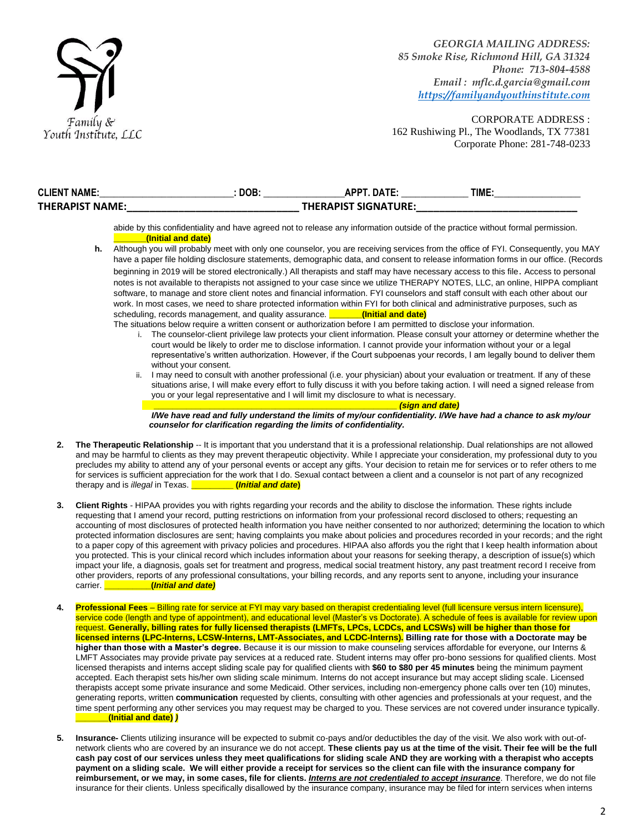

| <b>CLIENT NAME:</b> | DOB. | <b>ADDT</b><br><b>DATF</b>  | TIME. |
|---------------------|------|-----------------------------|-------|
| THERAPIST NAME:     |      | <b>THERAPIST SIGNATURE:</b> |       |

abide by this confidentiality and have agreed not to release any information outside of the practice without formal permission. **\_\_\_\_\_\_\_(Initial and date)**

- **h.** Although you will probably meet with only one counselor, you are receiving services from the office of FYI. Consequently, you MAY have a paper file holding disclosure statements, demographic data, and consent to release information forms in our office. (Records beginning in 2019 will be stored electronically.) All therapists and staff may have necessary access to this file. Access to personal notes is not available to therapists not assigned to your case since we utilize THERAPY NOTES, LLC, an online, HIPPA compliant software, to manage and store client notes and financial information. FYI counselors and staff consult with each other about our work. In most cases, we need to share protected information within FYI for both clinical and administrative purposes, such as scheduling, records management, and quality assurance. *\_\_\_\_\_\_\_\_ (Initial and date)* 
	- The situations below require a written consent or authorization before I am permitted to disclose your information. i. The counselor-client privilege law protects your client information. Please consult your attorney or determine whether the court would be likely to order me to disclose information. I cannot provide your information without your or a legal representative's written authorization. However, if the Court subpoenas your records, I am legally bound to deliver them without your consent.
		- I may need to consult with another professional (i.e. your physician) about your evaluation or treatment. If any of these situations arise, I will make every effort to fully discuss it with you before taking action. I will need a signed release from you or your legal representative and I will limit my disclosure to what is necessary.

 $(s$ ign and date)

 *I/We have read and fully understand the limits of my/our confidentiality. I/We have had a chance to ask my/our counselor for clarification regarding the limits of confidentiality.* 

- **2. The Therapeutic Relationship** -- It is important that you understand that it is a professional relationship. Dual relationships are not allowed and may be harmful to clients as they may prevent therapeutic objectivity. While I appreciate your consideration, my professional duty to you precludes my ability to attend any of your personal events or accept any gifts. Your decision to retain me for services or to refer others to me for services is sufficient appreciation for the work that I do. Sexual contact between a client and a counselor is not part of any recognized therapy and is *illegal* in Texas. **\_\_\_\_\_\_\_\_\_ (***Initial and date***)**
- **3. Client Rights**  HIPAA provides you with rights regarding your records and the ability to disclose the information. These rights include requesting that I amend your record, putting restrictions on information from your professional record disclosed to others; requesting an accounting of most disclosures of protected health information you have neither consented to nor authorized; determining the location to which protected information disclosures are sent; having complaints you make about policies and procedures recorded in your records; and the right to a paper copy of this agreement with privacy policies and procedures. HIPAA also affords you the right that I keep health information about you protected. This is your clinical record which includes information about your reasons for seeking therapy, a description of issue(s) which impact your life, a diagnosis, goals set for treatment and progress, medical social treatment history, any past treatment record I receive from other providers, reports of any professional consultations, your billing records, and any reports sent to anyone, including your insurance carrier. **\_\_\_\_\_\_\_\_\_\_(***Initial and date)*
- **4. Professional Fees**  Billing rate for service at FYI may vary based on therapist credentialing level (full licensure versus intern licensure), service code (length and type of appointment), and educational level (Master's vs Doctorate). A schedule of fees is available for review upon request. **Generally, billing rates for fully licensed therapists (LMFTs, LPCs, LCDCs, and LCSWs) will be higher than those for licensed interns (LPC-Interns, LCSW-Interns, LMT-Associates, and LCDC-Interns). Billing rate for those with a Doctorate may be higher than those with a Master's degree.** Because it is our mission to make counseling services affordable for everyone, our Interns & LMFT Associates may provide private pay services at a reduced rate. Student interns may offer pro-bono sessions for qualified clients. Most licensed therapists and interns accept sliding scale pay for qualified clients with **\$60 to \$80 per 45 minutes** being the minimum payment accepted. Each therapist sets his/her own sliding scale minimum. Interns do not accept insurance but may accept sliding scale. Licensed therapists accept some private insurance and some Medicaid. Other services, including non-emergency phone calls over ten (10) minutes, generating reports, written **communication** requested by clients, consulting with other agencies and professionals at your request, and the time spent performing any other services you may request may be charged to you. These services are not covered under insurance typically. **\_\_\_\_\_\_\_(Initial and date)** *)*
- **5. Insurance-** Clients utilizing insurance will be expected to submit co-pays and/or deductibles the day of the visit. We also work with out-ofnetwork clients who are covered by an insurance we do not accept. **These clients pay us at the time of the visit. Their fee will be the full cash pay cost of our services unless they meet qualifications for sliding scale AND they are working with a therapist who accepts payment on a sliding scale. We will either provide a receipt for services so the client can file with the insurance company for reimbursement, or we may, in some cases, file for clients.** *Interns are not credentialed to accept insurance*. Therefore, we do not file insurance for their clients. Unless specifically disallowed by the insurance company, insurance may be filed for intern services when interns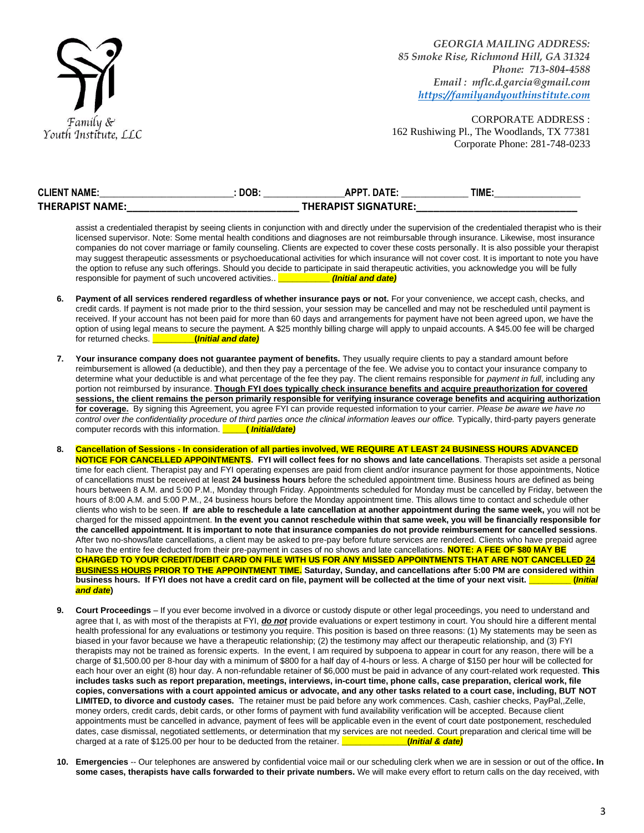

| <b>CLIENT NAME:</b>    | <b>DOB</b> | ΔΡΡΤ ΠΔΤF                   | TIME. |
|------------------------|------------|-----------------------------|-------|
| <b>THERAPIST NAME:</b> |            | <b>THERAPIST SIGNATURE:</b> |       |

assist a credentialed therapist by seeing clients in conjunction with and directly under the supervision of the credentialed therapist who is their licensed supervisor. Note: Some mental health conditions and diagnoses are not reimbursable through insurance. Likewise, most insurance companies do not cover marriage or family counseling. Clients are expected to cover these costs personally. It is also possible your therapist may suggest therapeutic assessments or psychoeducational activities for which insurance will not cover cost. It is important to note you have the option to refuse any such offerings. Should you decide to participate in said therapeutic activities, you acknowledge you will be fully responsible for payment of such uncovered activities. responsible for payment of such uncovered activities.

- 6. Payment of all services rendered regardless of whether insurance pays or not. For your convenience, we accept cash, checks, and credit cards. If payment is not made prior to the third session, your session may be cancelled and may not be rescheduled until payment is received. If your account has not been paid for more than 60 days and arrangements for payment have not been agreed upon, we have the option of using legal means to secure the payment. A \$25 monthly billing charge will apply to unpaid accounts. A \$45.00 fee will be charged for returned checks. **\_\_\_\_\_\_\_\_\_(***Initial and date)*
- **7. Your insurance company does not guarantee payment of benefits.** They usually require clients to pay a standard amount before reimbursement is allowed (a deductible), and then they pay a percentage of the fee. We advise you to contact your insurance company to determine what your deductible is and what percentage of the fee they pay. The client remains responsible for *payment in full*, including any portion not reimbursed by insurance. **Though FYI does typically check insurance benefits and acquire preauthorization for covered sessions, the client remains the person primarily responsible for verifying insurance coverage benefits and acquiring authorization for coverage.** By signing this Agreement, you agree FYI can provide requested information to your carrier. *Please be aware we have no*  control over the confidentiality procedure of third parties once the clinical information leaves our office. Typically, third-party payers generate computer records with this information. **\_\_\_\_\_(** *Initial/date)*
- **8. Cancellation of Sessions - In consideration of all parties involved, WE REQUIRE AT LEAST 24 BUSINESS HOURS ADVANCED NOTICE FOR CANCELLED APPOINTMENTS. FYI will collect fees for no shows and late cancellations**. Therapists set aside a personal time for each client. Therapist pay and FYI operating expenses are paid from client and/or insurance payment for those appointments, Notice of cancellations must be received at least **24 business hours** before the scheduled appointment time. Business hours are defined as being hours between 8 A.M. and 5:00 P.M., Monday through Friday. Appointments scheduled for Monday must be cancelled by Friday, between the hours of 8:00 A.M. and 5:00 P.M., 24 business hours before the Monday appointment time. This allows time to contact and schedule other clients who wish to be seen. **If are able to reschedule a late cancellation at another appointment during the same week,** you will not be charged for the missed appointment. **In the event you cannot reschedule within that same week, you will be financially responsible for the cancelled appointment. It is important to note that insurance companies do not provide reimbursement for cancelled sessions**. After two no-shows/late cancellations, a client may be asked to pre-pay before future services are rendered. Clients who have prepaid agree to have the entire fee deducted from their pre-payment in cases of no shows and late cancellations. **NOTE: A FEE OF \$80 MAY BE CHARGED TO YOUR CREDIT/DEBIT CARD ON FILE WITH US FOR ANY MISSED APPOINTMENTS THAT ARE NOT CANCELLED 24 BUSINESS HOURS PRIOR TO THE APPOINTMENT TIME. Saturday, Sunday, and cancellations after 5:00 PM are considered within business hours. If FYI does not have a credit card on file, payment will be collected at the time of your next visit. <b>The assume** (*Initial Initial and date***)**
- **9. Court Proceedings**  If you ever become involved in a divorce or custody dispute or other legal proceedings, you need to understand and agree that I, as with most of the therapists at FYI, *do not* provide evaluations or expert testimony in court. You should hire a different mental health professional for any evaluations or testimony you require. This position is based on three reasons: (1) My statements may be seen as biased in your favor because we have a therapeutic relationship; (2) the testimony may affect our therapeutic relationship, and (3) FYI therapists may not be trained as forensic experts. In the event, I am required by subpoena to appear in court for any reason, there will be a charge of \$1,500.00 per 8-hour day with a minimum of \$800 for a half day of 4-hours or less. A charge of \$150 per hour will be collected for each hour over an eight (8) hour day. A non-refundable retainer of \$6,000 must be paid in advance of any court-related work requested. **This includes tasks such as report preparation, meetings, interviews, in-court time, phone calls, case preparation, clerical work, file copies, conversations with a court appointed amicus or advocate, and any other tasks related to a court case, including, BUT NOT LIMITED, to divorce and custody cases.** The retainer must be paid before any work commences. Cash, cashier checks, PayPal,,Zelle, money orders, credit cards, debit cards, or other forms of payment with fund availability verification will be accepted. Because client appointments must be cancelled in advance, payment of fees will be applicable even in the event of court date postponement, rescheduled dates, case dismissal, negotiated settlements, or determination that my services are not needed. Court preparation and clerical time will be charged at a rate of \$125.00 per hour to be deducted from the retainer. **\_\_\_\_\_\_\_\_\_\_\_\_\_\_(***Initial & date)*
- **10. Emergencies** -- Our telephones are answered by confidential voice mail or our scheduling clerk when we are in session or out of the office**. In some cases, therapists have calls forwarded to their private numbers.** We will make every effort to return calls on the day received, with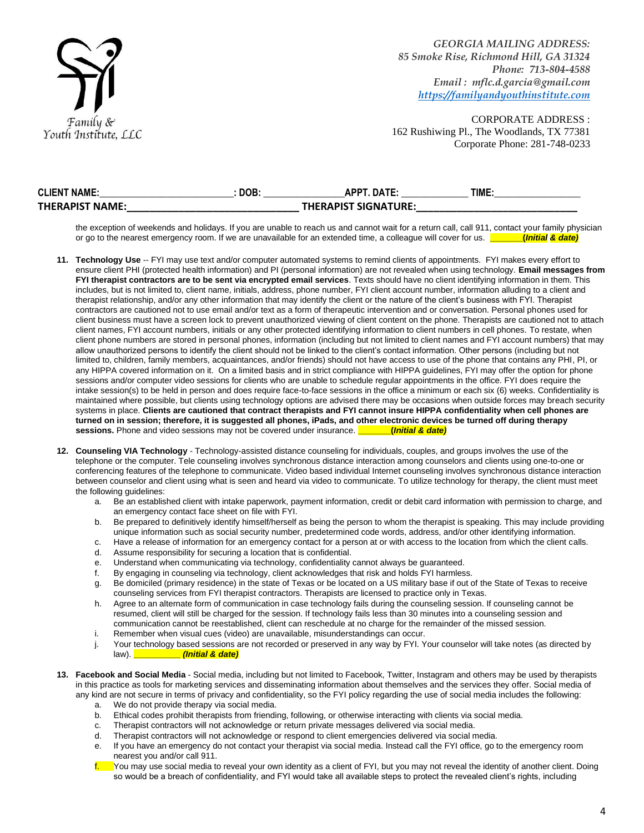

CORPORATE ADDRESS : 162 Rushiwing Pl., The Woodlands, TX 77381 Corporate Phone: 281-748-0233

| <b>CLIENT NAME:</b> | DOB. | APPT. DATE:                 | TIME |
|---------------------|------|-----------------------------|------|
| THERAPIST NAME:     |      | <b>THERAPIST SIGNATURE:</b> |      |

the exception of weekends and holidays. If you are unable to reach us and cannot wait for a return call, call 911, contact your family physician or go to the nearest emergency room. If we are unavailable for an extended time, a colleague will cover for us. **\_\_\_\_\_\_\_(***Initial & date)*

- **11. Technology Use** -- FYI may use text and/or computer automated systems to remind clients of appointments. FYI makes every effort to ensure client PHI (protected health information) and PI (personal information) are not revealed when using technology. **Email messages from FYI therapist contractors are to be sent via encrypted email services**. Texts should have no client identifying information in them. This includes, but is not limited to, client name, initials, address, phone number, FYI client account number, information alluding to a client and therapist relationship, and/or any other information that may identify the client or the nature of the client's business with FYI. Therapist contractors are cautioned not to use email and/or text as a form of therapeutic intervention and or conversation. Personal phones used for client business must have a screen lock to prevent unauthorized viewing of client content on the phone. Therapists are cautioned not to attach client names, FYI account numbers, initials or any other protected identifying information to client numbers in cell phones. To restate, when client phone numbers are stored in personal phones, information (including but not limited to client names and FYI account numbers) that may allow unauthorized persons to identify the client should not be linked to the client's contact information. Other persons (including but not limited to, children, family members, acquaintances, and/or friends) should not have access to use of the phone that contains any PHI, PI, or any HIPPA covered information on it. On a limited basis and in strict compliance with HIPPA guidelines, FYI may offer the option for phone sessions and/or computer video sessions for clients who are unable to schedule regular appointments in the office. FYI does require the intake session(s) to be held in person and does require face-to-face sessions in the office a minimum or each six (6) weeks. Confidentiality is maintained where possible, but clients using technology options are advised there may be occasions when outside forces may breach security systems in place. **Clients are cautioned that contract therapists and FYI cannot insure HIPPA confidentiality when cell phones are turned on in session; therefore, it is suggested all phones, iPads, and other electronic devices be turned off during therapy sessions.** Phone and video sessions may not be covered under insurance. **\_\_\_\_\_\_\_(***Initial & date)*
- **12. Counseling VIA Technology**  Technology-assisted distance counseling for individuals, couples, and groups involves the use of the telephone or the computer. Tele counseling involves synchronous distance interaction among counselors and clients using one-to-one or conferencing features of the telephone to communicate. Video based individual Internet counseling involves synchronous distance interaction between counselor and client using what is seen and heard via video to communicate. To utilize technology for therapy, the client must meet the following guidelines:
	- a. Be an established client with intake paperwork, payment information, credit or debit card information with permission to charge, and an emergency contact face sheet on file with FYI.
	- b. Be prepared to definitively identify himself/herself as being the person to whom the therapist is speaking. This may include providing unique information such as social security number, predetermined code words, address, and/or other identifying information.
	- c. Have a release of information for an emergency contact for a person at or with access to the location from which the client calls.
	- d. Assume responsibility for securing a location that is confidential.
	- e. Understand when communicating via technology, confidentiality cannot always be guaranteed.
	- f. By engaging in counseling via technology, client acknowledges that risk and holds FYI harmless.
	- g. Be domiciled (primary residence) in the state of Texas or be located on a US military base if out of the State of Texas to receive counseling services from FYI therapist contractors. Therapists are licensed to practice only in Texas.
	- h. Agree to an alternate form of communication in case technology fails during the counseling session. If counseling cannot be resumed, client will still be charged for the session. If technology fails less than 30 minutes into a counseling session and communication cannot be reestablished, client can reschedule at no charge for the remainder of the missed session.
	- i. Remember when visual cues (video) are unavailable, misunderstandings can occur.
	- j. Your technology based sessions are not recorded or preserved in any way by FYI. Your counselor will take notes (as directed by law). **\_\_\_\_\_\_\_\_\_\_** *(Initial & date)*
- **13. Facebook and Social Media**  Social media, including but not limited to Facebook, Twitter, Instagram and others may be used by therapists in this practice as tools for marketing services and disseminating information about themselves and the services they offer. Social media of any kind are not secure in terms of privacy and confidentiality, so the FYI policy regarding the use of social media includes the following:
	- a. We do not provide therapy via social media.
	- b. Ethical codes prohibit therapists from friending, following, or otherwise interacting with clients via social media.
	- c. Therapist contractors will not acknowledge or return private messages delivered via social media.
	- d. Therapist contractors will not acknowledge or respond to client emergencies delivered via social media.
	- e. If you have an emergency do not contact your therapist via social media. Instead call the FYI office, go to the emergency room nearest you and/or call 911.
	- You may use social media to reveal your own identity as a client of FYI, but you may not reveal the identity of another client. Doing so would be a breach of confidentiality, and FYI would take all available steps to protect the revealed client's rights, including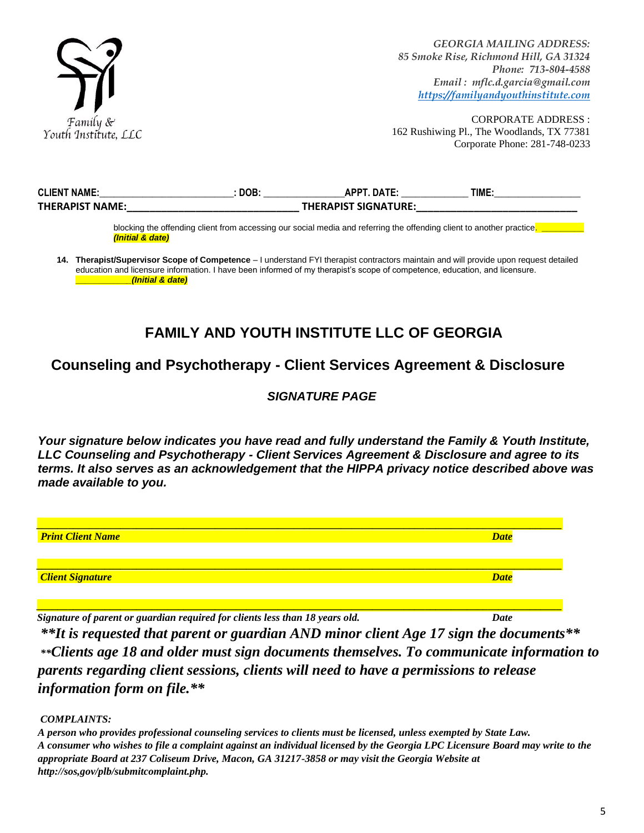

CORPORATE ADDRESS : 162 Rushiwing Pl., The Woodlands, TX 77381 Corporate Phone: 281-748-0233

| <b>CLIENT NAME:</b>    | <b>DOB</b> | DATF:<br>АРРТ               | TIME. |
|------------------------|------------|-----------------------------|-------|
| <b>THERAPIST NAME:</b> |            | <b>THERAPIST SIGNATURE:</b> |       |

blocking the offending client from accessing our social media and referring the offending client to another practice. **\_\_\_** *(Initial & date)* 

**14. Therapist/Supervisor Scope of Competence** – I understand FYI therapist contractors maintain and will provide upon request detailed education and licensure information. I have been informed of my therapist's scope of competence, education, and licensure. **\_\_\_\_\_\_\_\_\_\_\_***\_(Initial & date)*

# **FAMILY AND YOUTH INSTITUTE LLC OF GEORGIA**

## **Counseling and Psychotherapy - Client Services Agreement & Disclosure**

### *SIGNATURE PAGE*

*Your signature below indicates you have read and fully understand the Family & Youth Institute, LLC Counseling and Psychotherapy - Client Services Agreement & Disclosure and agree to its terms. It also serves as an acknowledgement that the HIPPA privacy notice described above was made available to you.* 



*Signature of parent or guardian required for clients less than 18 years old. Date*

*\*\*It is requested that parent or guardian AND minor client Age 17 sign the documents\*\* \*\*Clients age 18 and older must sign documents themselves. To communicate information to parents regarding client sessions, clients will need to have a permissions to release information form on file.\*\**

*COMPLAINTS:*

*A person who provides professional counseling services to clients must be licensed, unless exempted by State Law. A consumer who wishes to file a complaint against an individual licensed by the Georgia LPC Licensure Board may write to the appropriate Board at 237 Coliseum Drive, Macon, GA 31217-3858 or may visit the Georgia Website at http://sos,gov/plb/submitcomplaint.php.*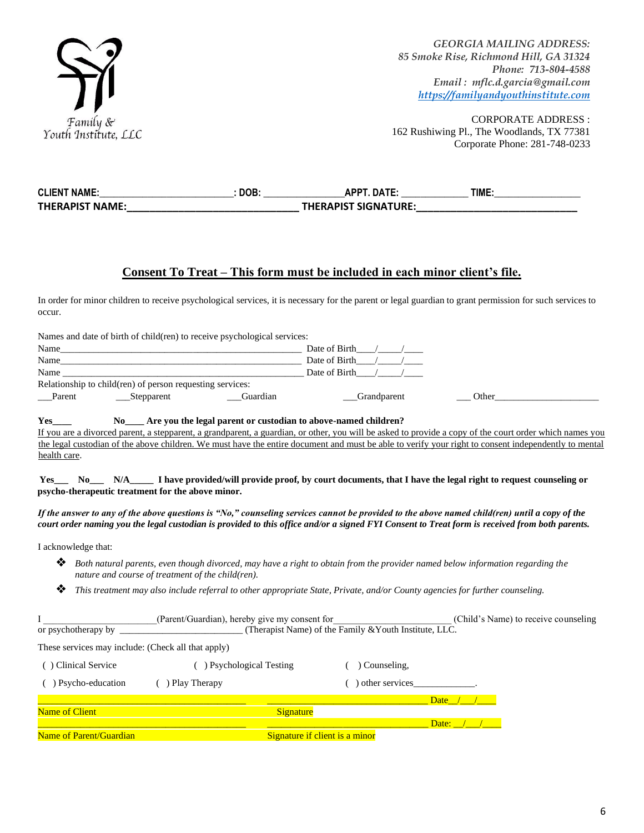

| <b>CLIENT NAME:</b>    | DOB: | <b>ADDT</b>                 | TIME |
|------------------------|------|-----------------------------|------|
| <b>THERAPIST NAME:</b> |      | <b>THERAPIST SIGNATURE:</b> |      |

### **Consent To Treat – This form must be included in each minor client's file.**

In order for minor children to receive psychological services, it is necessary for the parent or legal guardian to grant permission for such services to occur.

| Names and date of birth of child (ren) to receive psychological services:                |                                                                                                                                                                                                                                                                                                                 |
|------------------------------------------------------------------------------------------|-----------------------------------------------------------------------------------------------------------------------------------------------------------------------------------------------------------------------------------------------------------------------------------------------------------------|
|                                                                                          | Date of Birth $\frac{1}{2}$                                                                                                                                                                                                                                                                                     |
| Name                                                                                     | Date of Birth $\frac{1}{2}$                                                                                                                                                                                                                                                                                     |
| Name                                                                                     | Date of Birth $\frac{1}{2}$                                                                                                                                                                                                                                                                                     |
| Relationship to child(ren) of person requesting services:                                |                                                                                                                                                                                                                                                                                                                 |
| Parent<br>Stepparent<br>Guardian                                                         | Grandparent<br>Other the contract of the contract of the contract of the contract of the contract of the contract of the contract of the contract of the contract of the contract of the contract of the contract of the contract of the cont                                                                   |
| Yes<br>No Are you the legal parent or custodian to above-named children?<br>health care. | If you are a divorced parent, a stepparent, a grandparent, a guardian, or other, you will be asked to provide a copy of the court order which names you<br>the legal custodian of the above children. We must have the entire document and must be able to verify your right to consent independently to mental |
| psycho-therapeutic treatment for the above minor.                                        | Yes______ No______ N/A__________ I have provided/will provide proof, by court documents, that I have the legal right to request counseling or                                                                                                                                                                   |

*If the answer to any of the above questions is "No," counseling services cannot be provided to the above named child(ren) until a copy of the court order naming you the legal custodian is provided to this office and/or a signed FYI Consent to Treat form is received from both parents.* 

I acknowledge that:

- ❖ *Both natural parents, even though divorced, may have a right to obtain from the provider named below information regarding the nature and course of treatment of the child(ren).*
- ❖ *This treatment may also include referral to other appropriate State, Private, and/or County agencies for further counseling.*

|                                                    | (Parent/Guardian), hereby give my consent for |                                                        | (Child's Name) to receive counseling |  |
|----------------------------------------------------|-----------------------------------------------|--------------------------------------------------------|--------------------------------------|--|
| or psychotherapy by                                |                                               | (Therapist Name) of the Family & Youth Institute, LLC. |                                      |  |
| These services may include: (Check all that apply) |                                               |                                                        |                                      |  |
| Clinical Service                                   | <b>Psychological Testing</b>                  | Counseling.                                            |                                      |  |
| Psycho-education                                   | Play Therapy                                  | other services                                         |                                      |  |
|                                                    |                                               |                                                        | Date $/$ /                           |  |
| <b>Name of Client</b>                              | Signature                                     |                                                        |                                      |  |
|                                                    |                                               |                                                        | Date: /                              |  |
| <b>Name of Parent/Guardian</b>                     |                                               | Signature if client is a minor                         |                                      |  |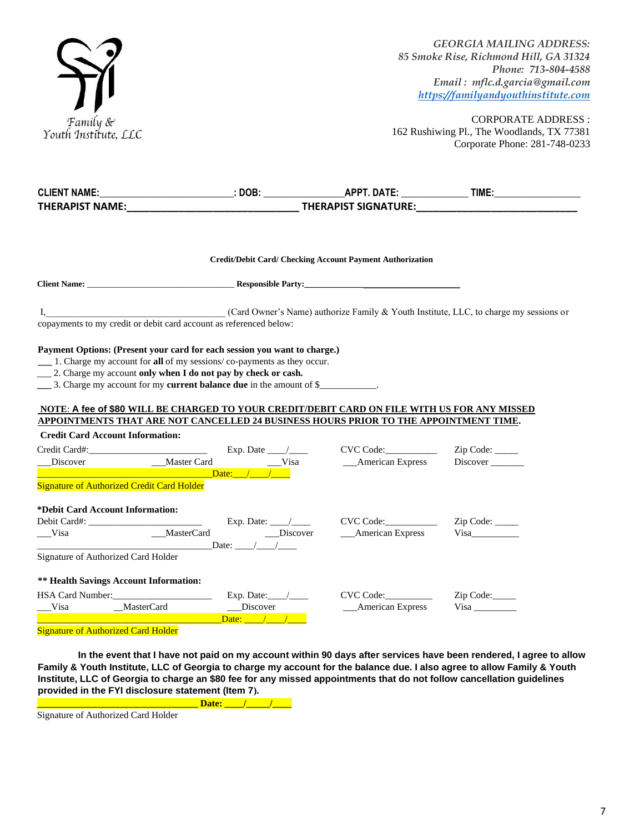

| <b>CLIENT NAME:</b>                                                                                                                                                                                                                                                                                                 |                     |                                                           |                  |
|---------------------------------------------------------------------------------------------------------------------------------------------------------------------------------------------------------------------------------------------------------------------------------------------------------------------|---------------------|-----------------------------------------------------------|------------------|
|                                                                                                                                                                                                                                                                                                                     |                     |                                                           |                  |
|                                                                                                                                                                                                                                                                                                                     |                     | Credit/Debit Card/ Checking Account Payment Authorization |                  |
|                                                                                                                                                                                                                                                                                                                     |                     |                                                           |                  |
| I, Card Owner's Name) authorize Family & Youth Institute, LLC, to charge my sessions or<br>copayments to my credit or debit card account as referenced below:                                                                                                                                                       |                     |                                                           |                  |
| Payment Options: (Present your card for each session you want to charge.)<br>__ 1. Charge my account for all of my sessions/co-payments as they occur.<br>__ 2. Charge my account only when I do not pay by check or cash.<br>_____ 3. Charge my account for my current balance due in the amount of \$___________. |                     |                                                           |                  |
| NOTE: A fee of \$80 WILL BE CHARGED TO YOUR CREDIT/DEBIT CARD ON FILE WITH US FOR ANY MISSED<br>APPOINTMENTS THAT ARE NOT CANCELLED 24 BUSINESS HOURS PRIOR TO THE APPOINTMENT TIME.                                                                                                                                |                     |                                                           |                  |
| <b>Credit Card Account Information:</b>                                                                                                                                                                                                                                                                             |                     |                                                           |                  |
|                                                                                                                                                                                                                                                                                                                     |                     |                                                           |                  |
| <b>Signature of Authorized Credit Card Holder</b>                                                                                                                                                                                                                                                                   |                     |                                                           |                  |
| *Debit Card Account Information:<br>Visa<br>$\Box$ Date: $\Box$                                                                                                                                                                                                                                                     | MasterCard Discover | __American Express                                        | Visa <b>Visa</b> |
| Signature of Authorized Card Holder                                                                                                                                                                                                                                                                                 |                     |                                                           |                  |
| <b>** Health Savings Account Information:</b>                                                                                                                                                                                                                                                                       |                     |                                                           |                  |
|                                                                                                                                                                                                                                                                                                                     |                     |                                                           |                  |
| Visa MasterCard Discover<br>MasterCard Date: ///                                                                                                                                                                                                                                                                    |                     | __American Express                                        |                  |
| <b>Signature of Authorized Card Holder</b>                                                                                                                                                                                                                                                                          |                     |                                                           |                  |

Signature of Authorized Card Holder

**In the event that I have not paid on my account within 90 days after services have been rendered, I agree to allow Family & Youth Institute, LLC of Georgia to charge my account for the balance due. I also agree to allow Family & Youth Institute, LLC of Georgia to charge an \$80 fee for any missed appointments that do not follow cancellation guidelines provided in the FYI disclosure statement (Item 7). \_\_\_\_\_\_\_\_\_\_\_\_\_\_\_\_\_\_\_\_\_\_\_\_\_\_\_\_\_\_\_\_\_\_ Date: \_\_\_\_/\_\_\_\_\_/\_\_\_\_**

Signature of Authorized Card Holder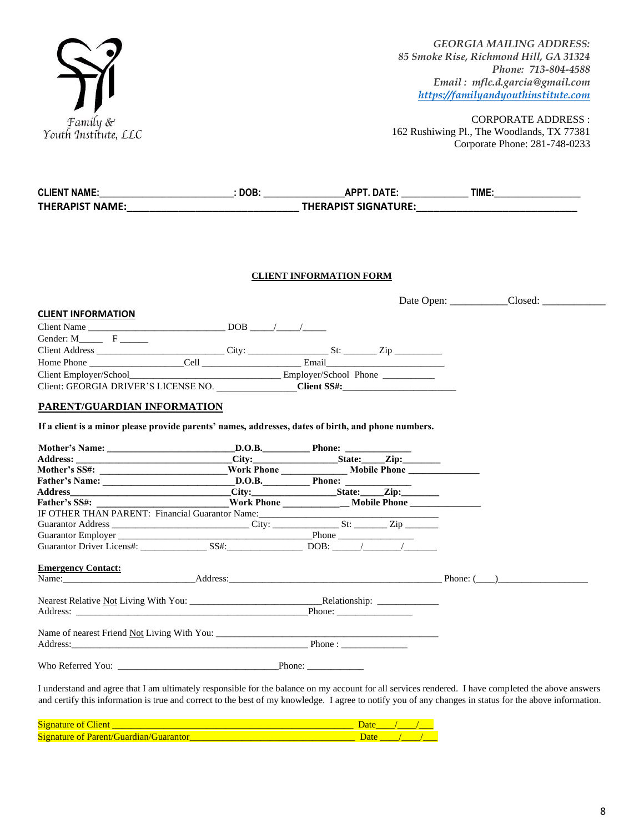

| CLIENT NAME:____________________________: DOB: __________________APPT. DATE: _______________TIME:_____________                                                                                                                 |                                |  |
|--------------------------------------------------------------------------------------------------------------------------------------------------------------------------------------------------------------------------------|--------------------------------|--|
| THERAPIST NAME:___________________________________THERAPIST SIGNATURE:_____________________________                                                                                                                            |                                |  |
|                                                                                                                                                                                                                                |                                |  |
|                                                                                                                                                                                                                                | <b>CLIENT INFORMATION FORM</b> |  |
|                                                                                                                                                                                                                                |                                |  |
| <b>CLIENT INFORMATION</b>                                                                                                                                                                                                      |                                |  |
|                                                                                                                                                                                                                                |                                |  |
| Gender: $M$ <sub>______</sub> F ______                                                                                                                                                                                         |                                |  |
|                                                                                                                                                                                                                                |                                |  |
|                                                                                                                                                                                                                                |                                |  |
|                                                                                                                                                                                                                                |                                |  |
| Client: GEORGIA DRIVER'S LICENSE NO. Client SS#:                                                                                                                                                                               |                                |  |
| PARENT/GUARDIAN INFORMATION                                                                                                                                                                                                    |                                |  |
| If a client is a minor please provide parents' names, addresses, dates of birth, and phone numbers.                                                                                                                            |                                |  |
|                                                                                                                                                                                                                                |                                |  |
|                                                                                                                                                                                                                                |                                |  |
| Mother's SS#: ___________________________Work Phone _____________________Mobile Phone ________________________                                                                                                                 |                                |  |
|                                                                                                                                                                                                                                |                                |  |
|                                                                                                                                                                                                                                |                                |  |
|                                                                                                                                                                                                                                |                                |  |
| IF OTHER THAN PARENT: Financial Guarantor Name:_________________________________                                                                                                                                               |                                |  |
|                                                                                                                                                                                                                                |                                |  |
|                                                                                                                                                                                                                                |                                |  |
|                                                                                                                                                                                                                                |                                |  |
| <b>Emergency Contact:</b>                                                                                                                                                                                                      |                                |  |
| Name: Phone: (2002) Address: Address: 2003 Address: 2004 Address: 2004 Address: 2004 Address: 2004 Address: 2004 Address: 2004 Address: 2004 Address: 2004 Address: 2004 Address: 2004 Address: 2004 Address: 2004 Address: 20 |                                |  |
|                                                                                                                                                                                                                                |                                |  |
|                                                                                                                                                                                                                                |                                |  |
|                                                                                                                                                                                                                                |                                |  |
|                                                                                                                                                                                                                                |                                |  |
|                                                                                                                                                                                                                                |                                |  |
|                                                                                                                                                                                                                                |                                |  |
|                                                                                                                                                                                                                                |                                |  |
|                                                                                                                                                                                                                                |                                |  |

I understand and agree that I am ultimately responsible for the balance on my account for all services rendered. I have completed the above answers and certify this information is true and correct to the best of my knowledge. I agree to notify you of any changes in status for the above information.

| $\sim$<br><b>COLOR</b><br>81<br>. . |  |  |
|-------------------------------------|--|--|
| $\sim$<br>N10<br>NT<br>-            |  |  |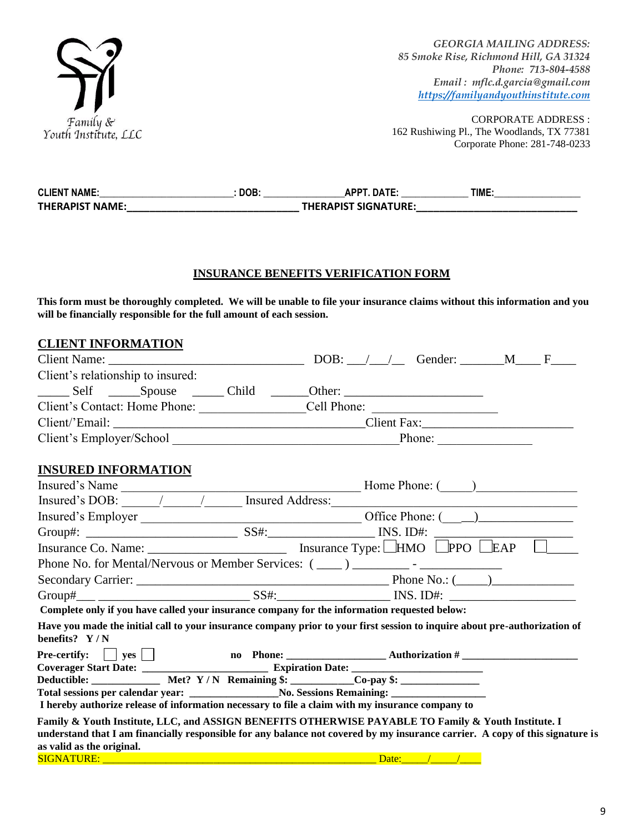

| <b>CLIENT NAME:</b>    | DOB: | <b>DATE</b>                 | TIME. |
|------------------------|------|-----------------------------|-------|
| <b>THERAPIST NAME:</b> |      | <b>THERAPIST SIGNATURE:</b> |       |

#### **INSURANCE BENEFITS VERIFICATION FORM**

**This form must be thoroughly completed. We will be unable to file your insurance claims without this information and you will be financially responsible for the full amount of each session.** 

| <b>CLIENT INFORMATION</b>                                                                                                                                                                                                                                         |  |             |  |
|-------------------------------------------------------------------------------------------------------------------------------------------------------------------------------------------------------------------------------------------------------------------|--|-------------|--|
|                                                                                                                                                                                                                                                                   |  |             |  |
| Client's relationship to insured:                                                                                                                                                                                                                                 |  |             |  |
|                                                                                                                                                                                                                                                                   |  |             |  |
|                                                                                                                                                                                                                                                                   |  |             |  |
|                                                                                                                                                                                                                                                                   |  |             |  |
|                                                                                                                                                                                                                                                                   |  |             |  |
| <b>INSURED INFORMATION</b>                                                                                                                                                                                                                                        |  |             |  |
|                                                                                                                                                                                                                                                                   |  |             |  |
|                                                                                                                                                                                                                                                                   |  |             |  |
|                                                                                                                                                                                                                                                                   |  |             |  |
|                                                                                                                                                                                                                                                                   |  |             |  |
|                                                                                                                                                                                                                                                                   |  |             |  |
| Phone No. for Mental/Nervous or Member Services: (____) _______________-                                                                                                                                                                                          |  |             |  |
|                                                                                                                                                                                                                                                                   |  |             |  |
|                                                                                                                                                                                                                                                                   |  |             |  |
| Complete only if you have called your insurance company for the information requested below:                                                                                                                                                                      |  |             |  |
| Have you made the initial call to your insurance company prior to your first session to inquire about pre-authorization of<br>benefits? Y/N                                                                                                                       |  |             |  |
| Pre-certify:  yes  no Phone:  Nuthorization # Nuthorization # Nuthorization # Nuthorization # Nuthorization # Nuthorization # Nuthorization # Nuthorization # Nuthorization # Nuthorization # Nuthorization # Nuthorization #                                     |  |             |  |
|                                                                                                                                                                                                                                                                   |  |             |  |
| Deductible: _____________ Met? Y/N Remaining \$: __________Co-pay \$: ____________<br>Total sessions per calendar year: _______________________No. Sessions Remaining: _____________________________                                                              |  |             |  |
| I hereby authorize release of information necessary to file a claim with my insurance company to                                                                                                                                                                  |  |             |  |
| Family & Youth Institute, LLC, and ASSIGN BENEFITS OTHERWISE PAYABLE TO Family & Youth Institute. I<br>understand that I am financially responsible for any balance not covered by my insurance carrier. A copy of this signature is<br>as valid as the original. |  |             |  |
|                                                                                                                                                                                                                                                                   |  | Date: / / / |  |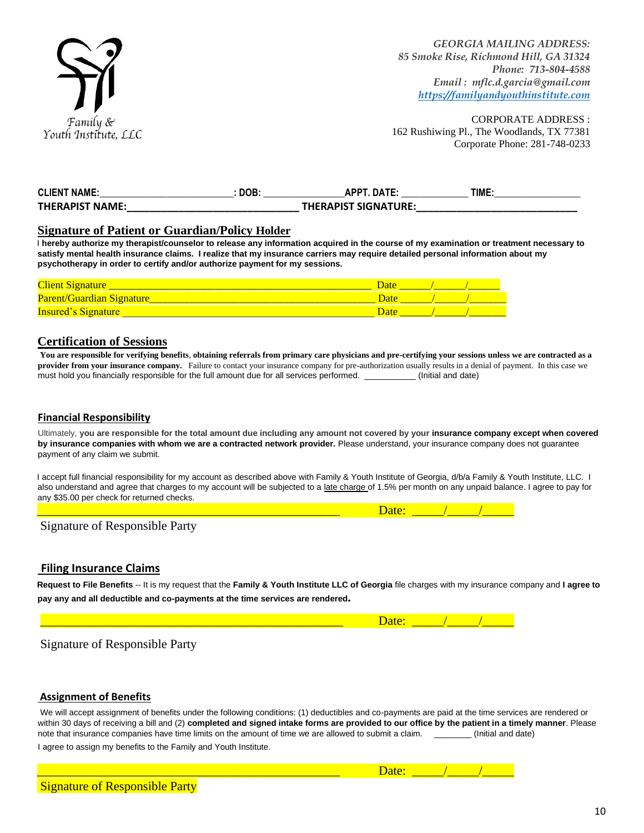

| <b>CLIENT NAME:</b>    | DOB | <b>DATE</b><br><b>ADDT</b>  | TIME. |
|------------------------|-----|-----------------------------|-------|
| <b>THERAPIST NAME:</b> |     | <b>THERAPIST SIGNATURE:</b> |       |

#### **Signature of Patient or Guardian/Policy Holder**

I **hereby authorize my therapist/counselor to release any information acquired in the course of my examination or treatment necessary to satisfy mental health insurance claims. I realize that my insurance carriers may require detailed personal information about my psychotherapy in order to certify and/or authorize payment for my sessions.**

| <b>Client Signature</b>    |  |  |
|----------------------------|--|--|
| Parent/Guardian Signature  |  |  |
| <b>Insured's Signature</b> |  |  |

#### **Certification of Sessions**

**You are responsible for verifying benefits**, **obtaining referrals from primary care physicians and pre-certifying your sessions unless we are contracted as a provider from your insurance company.** Failure to contact your insurance company for pre-authorization usually results in a denial of payment. In this case we must hold you financially responsible for the full amount due for all services performed. \_\_\_\_\_\_\_\_\_\_\_ (Initial and date)

#### **Financial Responsibility**

Ultimately, **you are responsible for the total amount due including any amount not covered by your insurance company except when covered by insurance companies with whom we are a contracted network provider.** Please understand, your insurance company does not guarantee payment of any claim we submit.

I accept full financial responsibility for my account as described above with Family & Youth Institute of Georgia, d/b/a Family & Youth Institute, LLC. I also understand and agree that charges to my account will be subjected to a late charge of 1.5% per month on any unpaid balance. I agree to pay for any \$35.00 per check for returned checks.

| Sian<br>тпяште от кест<br>ranty –<br>ື |  |
|----------------------------------------|--|

#### **Filing Insurance Claims**

**Request to File Benefits** -- It is my request that the **Family & Youth Institute LLC of Georgia** file charges with my insurance company and **I agree to pay any and all deductible and co-payments at the time services are rendered.** 

Signature of Responsible Party

#### **Assignment of Benefits**

We will accept assignment of benefits under the following conditions: (1) deductibles and co-payments are paid at the time services are rendered or within 30 days of receiving a bill and (2) **completed and signed intake forms are provided to our office by the patient in a timely manner**. Please note that insurance companies have time limits on the amount of time we are allowed to submit a claim. \_\_\_\_\_\_\_\_\_\_\_(Initial and date) I agree to assign my benefits to the Family and Youth Institute.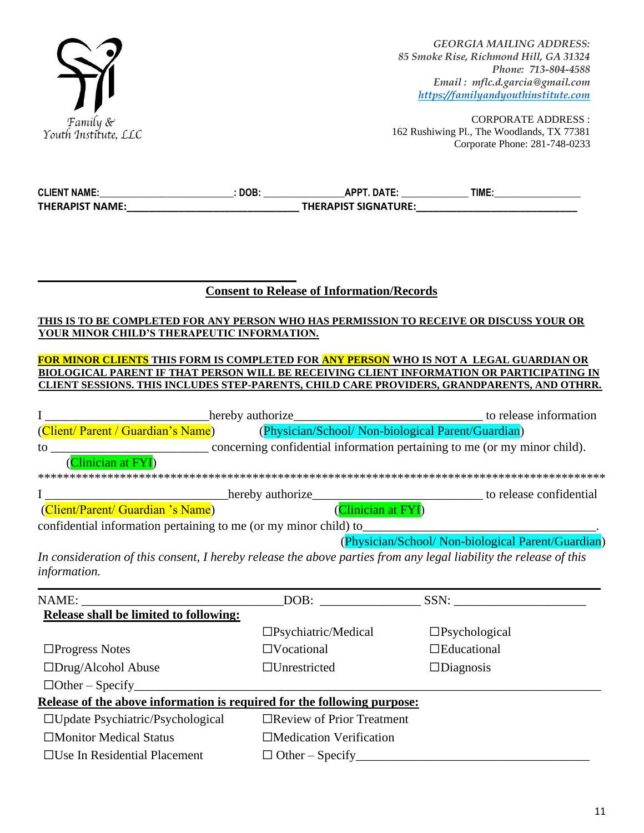

| <b>CLIENT NAME:</b> | DOB: | <b>APPT. DATE:</b>          | TIME. |  |
|---------------------|------|-----------------------------|-------|--|
| THERAPIST NAME:     |      | <b>THERAPIST SIGNATURE:</b> |       |  |
|                     |      |                             |       |  |

## **Consent to Release of Information/Records**

### **THIS IS TO BE COMPLETED FOR ANY PERSON WHO HAS PERMISSION TO RECEIVE OR DISCUSS YOUR OR YOUR MINOR CHILD'S THERAPEUTIC INFORMATION.**

#### **FOR MINOR CLIENTS THIS FORM IS COMPLETED FOR ANY PERSON WHO IS NOT A LEGAL GUARDIAN OR BIOLOGICAL PARENT IF THAT PERSON WILL BE RECEIVING CLIENT INFORMATION OR PARTICIPATING IN CLIENT SESSIONS. THIS INCLUDES STEP-PARENTS, CHILD CARE PROVIDERS, GRANDPARENTS, AND OTHRR.**

|                                                                  | hereby authorize                                                          | to release information                             |
|------------------------------------------------------------------|---------------------------------------------------------------------------|----------------------------------------------------|
| (Client/Parent / Guardian's Name)                                | (Physician/School/ Non-biological Parent/Guardian)                        |                                                    |
| to                                                               | concerning confidential information pertaining to me (or my minor child). |                                                    |
| (Clinician at FYI)                                               |                                                                           |                                                    |
|                                                                  |                                                                           |                                                    |
|                                                                  | hereby authorize                                                          | to release confidential                            |
| (Client/Parent/ Guardian 's Name)                                | Clinician at FYI)                                                         |                                                    |
| confidential information pertaining to me (or my minor child) to |                                                                           |                                                    |
|                                                                  |                                                                           | (Physician/School/ Non-biological Parent/Guardian) |

*In consideration of this consent, I hereby release the above parties from any legal liability the release of this information.*

|                                                                         |                                  | DOB: SSN:               |
|-------------------------------------------------------------------------|----------------------------------|-------------------------|
| Release shall be limited to following:                                  |                                  |                         |
|                                                                         | $\Box$ Psychiatric/Medical       | $\square$ Psychological |
| $\Box$ Progress Notes                                                   | $\Box$ Vocational                | $\Box$ Educational      |
| $\square$ Drug/Alcohol Abuse                                            | $\Box$ Unrestricted              | $\Box$ Diagnosis        |
| $\Box$ Other – Specify                                                  |                                  |                         |
| Release of the above information is required for the following purpose: |                                  |                         |
| $\Box$ Update Psychiatric/Psychological                                 | $\Box$ Review of Prior Treatment |                         |
| $\Box$ Monitor Medical Status                                           | $\Box$ Medication Verification   |                         |
| $\Box$ Use In Residential Placement                                     | $\Box$ Other – Specify           |                         |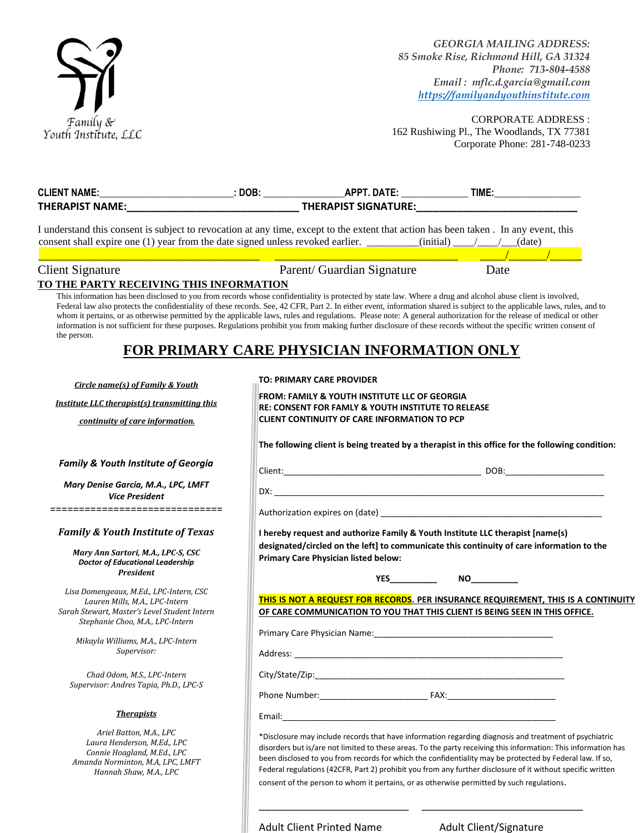

| <b>CLIENT NAME:</b>                                                                                                                                                                                                                                                                                                                                                                                                                                                                                                                                                                                                                                                                                  |          |                                                                                                                |      |  |
|------------------------------------------------------------------------------------------------------------------------------------------------------------------------------------------------------------------------------------------------------------------------------------------------------------------------------------------------------------------------------------------------------------------------------------------------------------------------------------------------------------------------------------------------------------------------------------------------------------------------------------------------------------------------------------------------------|----------|----------------------------------------------------------------------------------------------------------------|------|--|
|                                                                                                                                                                                                                                                                                                                                                                                                                                                                                                                                                                                                                                                                                                      |          |                                                                                                                |      |  |
| I understand this consent is subject to revocation at any time, except to the extent that action has been taken. In any event, this                                                                                                                                                                                                                                                                                                                                                                                                                                                                                                                                                                  |          |                                                                                                                |      |  |
| consent shall expire one (1) year from the date signed unless revoked earlier. __________(initial) ____/___/__(date)                                                                                                                                                                                                                                                                                                                                                                                                                                                                                                                                                                                 |          |                                                                                                                |      |  |
|                                                                                                                                                                                                                                                                                                                                                                                                                                                                                                                                                                                                                                                                                                      |          |                                                                                                                |      |  |
| <b>Client Signature</b>                                                                                                                                                                                                                                                                                                                                                                                                                                                                                                                                                                                                                                                                              |          | Parent/ Guardian Signature                                                                                     | Date |  |
| TO THE PARTY RECEIVING THIS INFORMATION                                                                                                                                                                                                                                                                                                                                                                                                                                                                                                                                                                                                                                                              |          |                                                                                                                |      |  |
| This information has been disclosed to you from records whose confidentiality is protected by state law. Where a drug and alcohol abuse client is involved,<br>Federal law also protects the confidentiality of these records. See, 42 CFR, Part 2. In either event, information shared is subject to the applicable laws, rules, and to<br>whom it pertains, or as otherwise permitted by the applicable laws, rules and regulations. Please note: A general authorization for the release of medical or other<br>information is not sufficient for these purposes. Regulations prohibit you from making further disclosure of these records without the specific written consent of<br>the person. |          | FOR PRIMARY CARE PHYSICIAN INFORMATION ONLY                                                                    |      |  |
|                                                                                                                                                                                                                                                                                                                                                                                                                                                                                                                                                                                                                                                                                                      |          | <b>TO: PRIMARY CARE PROVIDER</b>                                                                               |      |  |
| Circle name(s) of Family & Youth                                                                                                                                                                                                                                                                                                                                                                                                                                                                                                                                                                                                                                                                     |          | <b>FROM: FAMILY &amp; YOUTH INSTITUTE LLC OF GEORGIA</b>                                                       |      |  |
| Institute LLC therapist(s) transmitting this                                                                                                                                                                                                                                                                                                                                                                                                                                                                                                                                                                                                                                                         |          | <b>RE: CONSENT FOR FAMLY &amp; YOUTH INSTITUTE TO RELEASE</b>                                                  |      |  |
| continuity of care information.                                                                                                                                                                                                                                                                                                                                                                                                                                                                                                                                                                                                                                                                      |          | <b>CLIENT CONTINUITY OF CARE INFORMATION TO PCP</b>                                                            |      |  |
|                                                                                                                                                                                                                                                                                                                                                                                                                                                                                                                                                                                                                                                                                                      |          | The following client is being treated by a therapist in this office for the following condition:               |      |  |
| <b>Family &amp; Youth Institute of Georgia</b>                                                                                                                                                                                                                                                                                                                                                                                                                                                                                                                                                                                                                                                       |          |                                                                                                                |      |  |
| Mary Denise Garcia, M.A., LPC, LMFT                                                                                                                                                                                                                                                                                                                                                                                                                                                                                                                                                                                                                                                                  |          |                                                                                                                |      |  |
| <b>Vice President</b>                                                                                                                                                                                                                                                                                                                                                                                                                                                                                                                                                                                                                                                                                |          |                                                                                                                |      |  |
| =============================                                                                                                                                                                                                                                                                                                                                                                                                                                                                                                                                                                                                                                                                        |          |                                                                                                                |      |  |
| <b>Family &amp; Youth Institute of Texas</b>                                                                                                                                                                                                                                                                                                                                                                                                                                                                                                                                                                                                                                                         |          | I hereby request and authorize Family & Youth Institute LLC therapist [name(s)                                 |      |  |
| Mary Ann Sartori, M.A., LPC-S, CSC                                                                                                                                                                                                                                                                                                                                                                                                                                                                                                                                                                                                                                                                   |          | designated/circled on the left] to communicate this continuity of care information to the                      |      |  |
| <b>Doctor of Educational Leadership</b>                                                                                                                                                                                                                                                                                                                                                                                                                                                                                                                                                                                                                                                              |          | Primary Care Physician listed below:                                                                           |      |  |
| <b>President</b>                                                                                                                                                                                                                                                                                                                                                                                                                                                                                                                                                                                                                                                                                     |          | YES                                                                                                            |      |  |
| Lisa Domengeaux, M.Ed., LPC-Intern, CSC                                                                                                                                                                                                                                                                                                                                                                                                                                                                                                                                                                                                                                                              |          |                                                                                                                |      |  |
| Lauren Mills, M.A., LPC-Intern<br>Sarah Stewart, Master's Level Student Intern                                                                                                                                                                                                                                                                                                                                                                                                                                                                                                                                                                                                                       |          | THIS IS NOT A REQUEST FOR RECORDS. PER INSURANCE REQUIREMENT, THIS IS A CONTINUITY                             |      |  |
| Stephanie Choo, M.A., LPC-Intern                                                                                                                                                                                                                                                                                                                                                                                                                                                                                                                                                                                                                                                                     |          | OF CARE COMMUNICATION TO YOU THAT THIS CLIENT IS BEING SEEN IN THIS OFFICE.                                    |      |  |
| Mikayla Williams, M.A., LPC-Intern                                                                                                                                                                                                                                                                                                                                                                                                                                                                                                                                                                                                                                                                   |          |                                                                                                                |      |  |
| Supervisor:                                                                                                                                                                                                                                                                                                                                                                                                                                                                                                                                                                                                                                                                                          | Address: |                                                                                                                |      |  |
| Chad Odom, M.S., LPC-Intern                                                                                                                                                                                                                                                                                                                                                                                                                                                                                                                                                                                                                                                                          |          |                                                                                                                |      |  |
| Supervisor: Andres Tapia, Ph.D., LPC-S                                                                                                                                                                                                                                                                                                                                                                                                                                                                                                                                                                                                                                                               |          |                                                                                                                |      |  |
|                                                                                                                                                                                                                                                                                                                                                                                                                                                                                                                                                                                                                                                                                                      |          |                                                                                                                |      |  |
| <b>Therapists</b>                                                                                                                                                                                                                                                                                                                                                                                                                                                                                                                                                                                                                                                                                    |          |                                                                                                                |      |  |
| Ariel Batton, M.A., LPC                                                                                                                                                                                                                                                                                                                                                                                                                                                                                                                                                                                                                                                                              |          | *Disclosure may include records that have information regarding diagnosis and treatment of psychiatric         |      |  |
| Laura Henderson, M.Ed., LPC<br>Connie Hoagland, M.Ed., LPC                                                                                                                                                                                                                                                                                                                                                                                                                                                                                                                                                                                                                                           |          | disorders but is/are not limited to these areas. To the party receiving this information: This information has |      |  |
| Amanda Norminton, M.A, LPC, LMFT                                                                                                                                                                                                                                                                                                                                                                                                                                                                                                                                                                                                                                                                     |          | been disclosed to you from records for which the confidentiality may be protected by Federal law. If so,       |      |  |
| Hannah Shaw, M.A., LPC                                                                                                                                                                                                                                                                                                                                                                                                                                                                                                                                                                                                                                                                               |          | Federal regulations (42CFR, Part 2) prohibit you from any further disclosure of it without specific written    |      |  |
|                                                                                                                                                                                                                                                                                                                                                                                                                                                                                                                                                                                                                                                                                                      |          | consent of the person to whom it pertains, or as otherwise permitted by such regulations.                      |      |  |

Adult Client Printed Name<br>
Adult Client/Signature

\_\_\_\_\_\_\_\_\_\_\_\_\_\_\_\_\_\_\_\_\_\_\_\_\_\_ \_\_\_\_\_\_\_\_\_\_\_\_\_\_\_\_\_\_\_\_\_\_\_\_\_\_\_\_